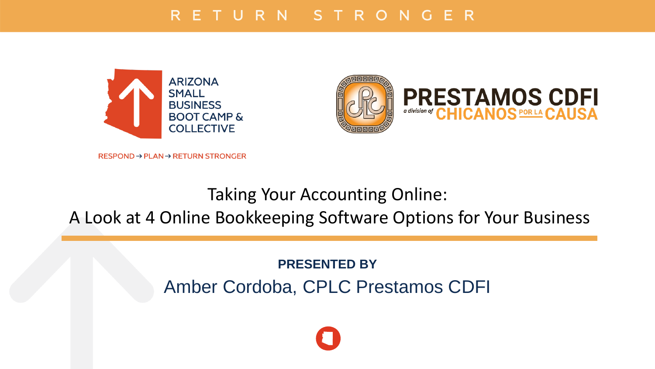





RESPOND → PLAN → RETURN STRONGER

## Taking Your Accounting Online:

A Look at 4 Online Bookkeeping Software Options for Your Business

## **PRESENTED BY** Amber Cordoba, CPLC Prestamos CDFI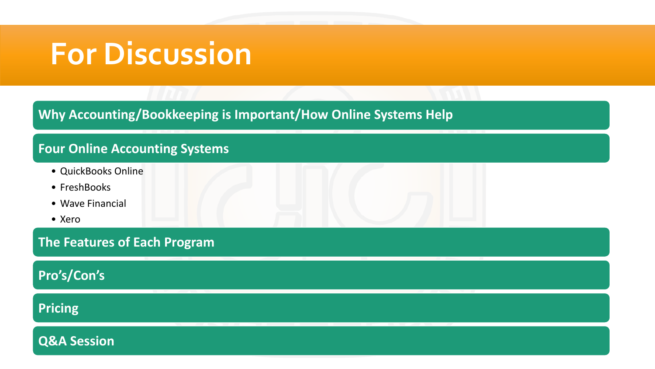# **For Discussion**

**Why Accounting/Bookkeeping is Important/How Online Systems Help** 

#### **Four Online Accounting Systems**

- QuickBooks Online
- FreshBooks
- Wave Financial
- Xero

#### **The Features of Each Program**

#### **Pro's/Con's**

**Pricing**

**Q&A Session**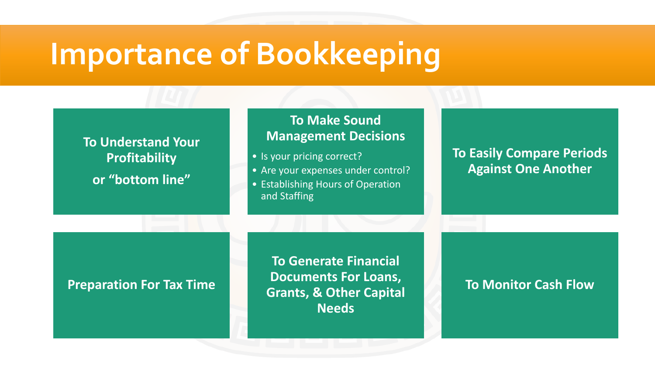# **Importance of Bookkeeping**

## **To Understand Your Profitability or "bottom line"**

#### **To Make Sound Management Decisions**

- Is your pricing correct?
- Are your expenses under control?
- Establishing Hours of Operation and Staffing

### **To Easily Compare Periods Against One Another**

#### **Preparation For Tax Time**

**To Generate Financial Documents For Loans, Grants, & Other Capital Needs** 

### **To Monitor Cash Flow**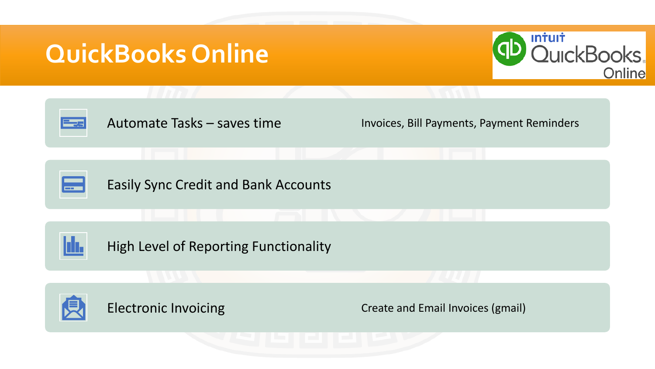## **QuickBooks Online**



|  | Automate Tasks - saves time                  | Invoices, Bill Payments, Payment Reminders |  |  |  |  |  |
|--|----------------------------------------------|--------------------------------------------|--|--|--|--|--|
|  |                                              |                                            |  |  |  |  |  |
|  | <b>Easily Sync Credit and Bank Accounts</b>  |                                            |  |  |  |  |  |
|  |                                              |                                            |  |  |  |  |  |
|  | <b>High Level of Reporting Functionality</b> |                                            |  |  |  |  |  |
|  |                                              |                                            |  |  |  |  |  |
|  | <b>Electronic Invoicing</b>                  | Create and Email Invoices (gmail)          |  |  |  |  |  |
|  |                                              |                                            |  |  |  |  |  |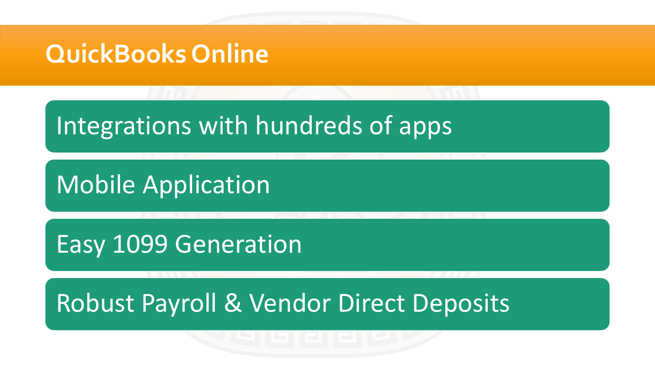## **QuickBooks Online**

Integrations with hundreds of apps

Mobile Application

Easy 1099 Generation

Robust Payroll & Vendor Direct Deposits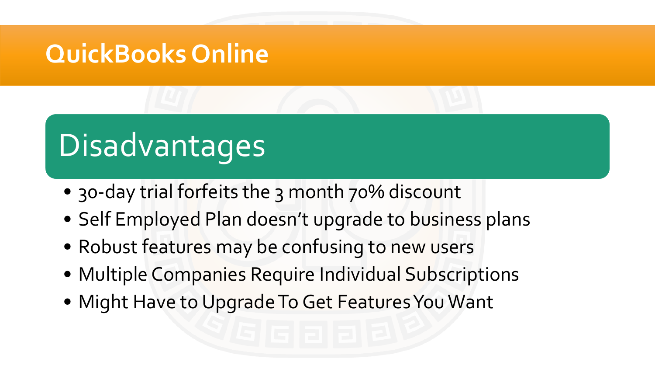## **QuickBooks Online**

# **Disadvantages**

- 30-day trial forfeits the 3 month 70% discount
- Self Employed Plan doesn't upgrade to business plans
- Robust features may be confusing to new users
- Multiple Companies Require Individual Subscriptions
- Might Have to Upgrade To Get Features You Want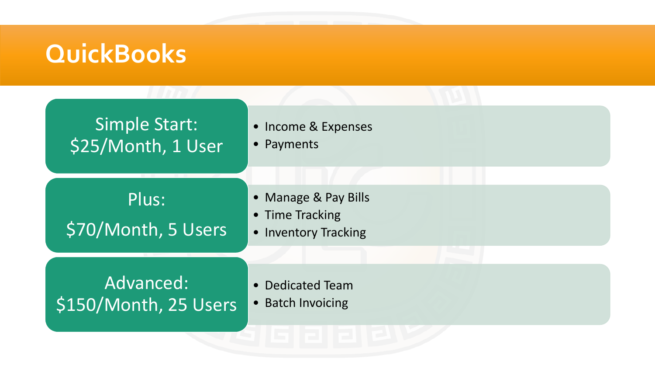## **QuickBooks**

| <b>Simple Start:</b><br>\$25/Month, 1 User | Income & Expenses<br>$\bullet$<br>Payments<br>$\bullet$         |
|--------------------------------------------|-----------------------------------------------------------------|
| Plus:<br>\$70/Month, 5 Users               | • Manage & Pay Bills<br>• Time Tracking<br>• Inventory Tracking |
| Advanced:<br>\$150/Month, 25 Users         | <b>Dedicated Team</b><br>$\bullet$<br><b>Batch Invoicing</b>    |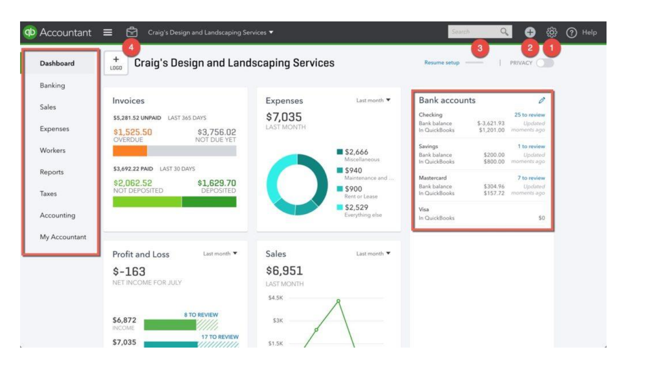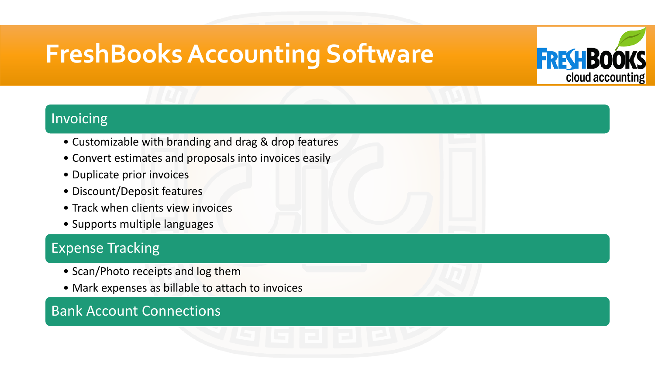

## Invoicing

- Customizable with branding and drag & drop features
- Convert estimates and proposals into invoices easily
- Duplicate prior invoices
- Discount/Deposit features
- Track when clients view invoices
- Supports multiple languages

## Expense Tracking

- Scan/Photo receipts and log them
- Mark expenses as billable to attach to invoices

## Bank Account Connections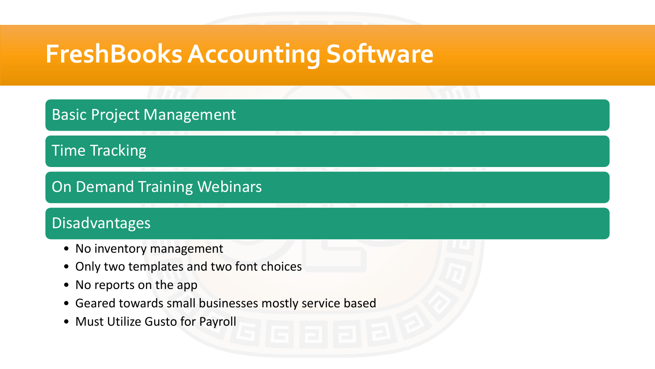Basic Project Management

Time Tracking

**On Demand Training Webinars** 

## Disadvantages

- No inventory management
- Only two templates and two font choices
- No reports on the app
- Geared towards small businesses mostly service based
- Must Utilize Gusto for Payroll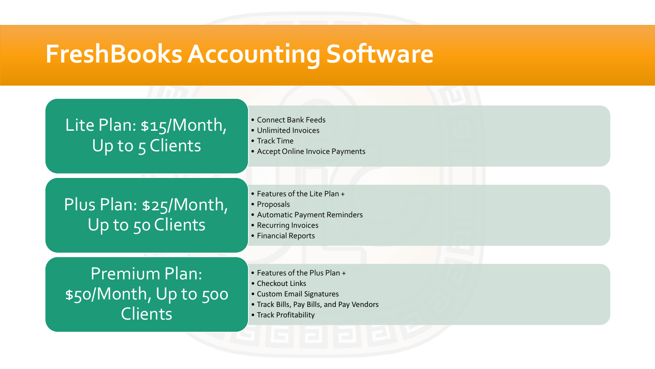## Lite Plan: \$15/Month, Up to 5 Clients

#### • Connect Bank Feeds

- Unlimited Invoices
- Track Time
- Accept Online Invoice Payments

## Plus Plan: \$25/Month, Up to 50 Clients

- Features of the Lite Plan +
- Proposals
- Automatic Payment Reminders
- Recurring Invoices
- Financial Reports

Premium Plan: \$50/Month, Up to 500 **Clients** 

- Features of the Plus Plan +
- Checkout Links
- Custom Email Signatures
- Track Bills, Pay Bills, and Pay Vendors
- Track Profitability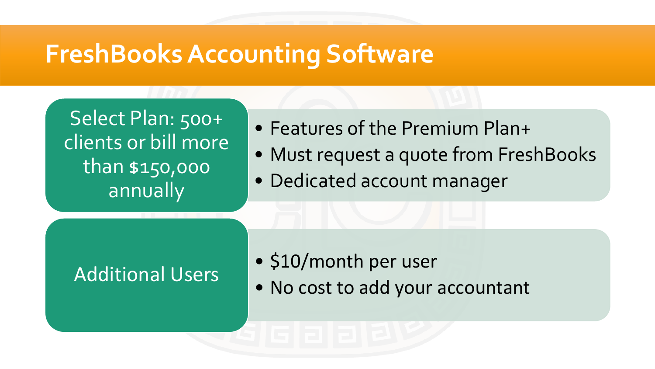Select Plan: 500+ clients or bill more than \$150,000 annually

- Features of the Premium Plan+
- Must request a quote from FreshBooks
- Dedicated account manager

- \$10/month per user
- Additional Users **Call 1949** No cost to add your accountant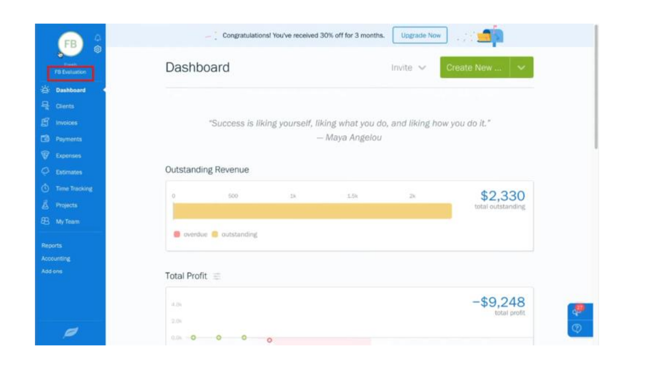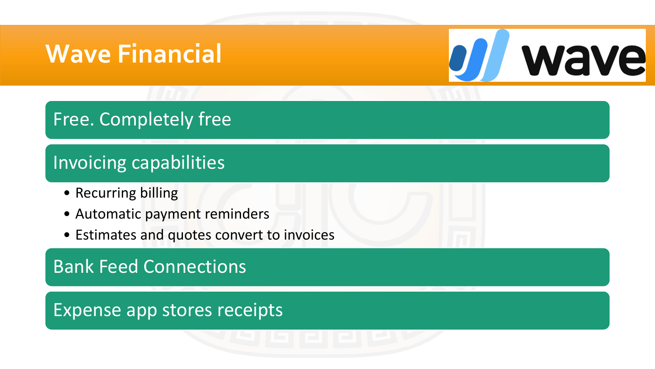## **Wave Financial**



## Free. Completely free

## Invoicing capabilities

- Recurring billing
- Automatic payment reminders
- Estimates and quotes convert to invoices

## Bank Feed Connections

Expense app stores receipts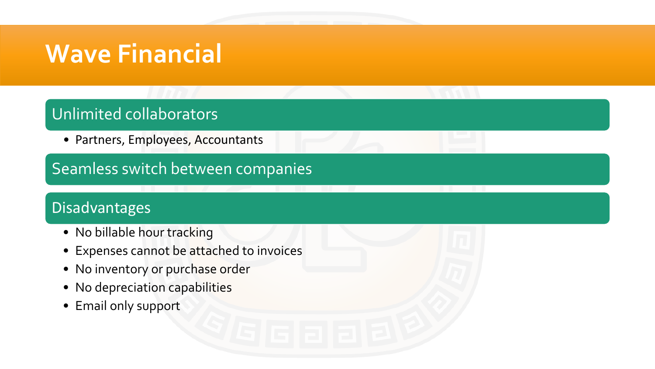## **Wave Financial**

## Unlimited collaborators

• Partners, Employees, Accountants

## Seamless switch between companies

## Disadvantages

- No billable hour tracking
- Expenses cannot be attached to invoices
- No inventory or purchase order
- No depreciation capabilities
- Email only support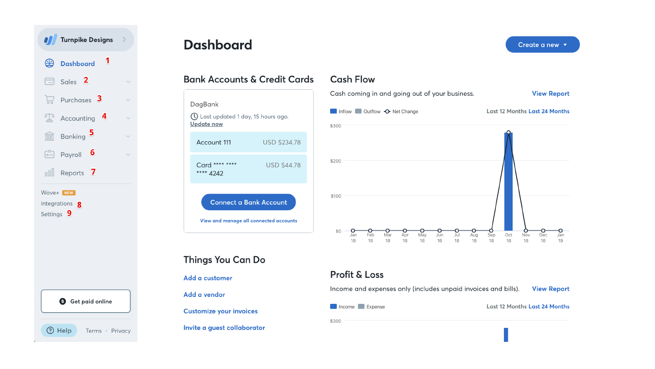



**①** Help Terms · Privacy

### **Dashboard**

**Things You Can Do** 

**Customize your invoices** 

Invite a guest collaborator

Add a customer

Add a vendor



#### **Cash Flow**



#### **Profit & Loss**

Income and expenses only (includes unpaid invoices and bills). **View Report** 

Income Expense

**Last 12 Months Last 24 Months** 

Create a new

\$300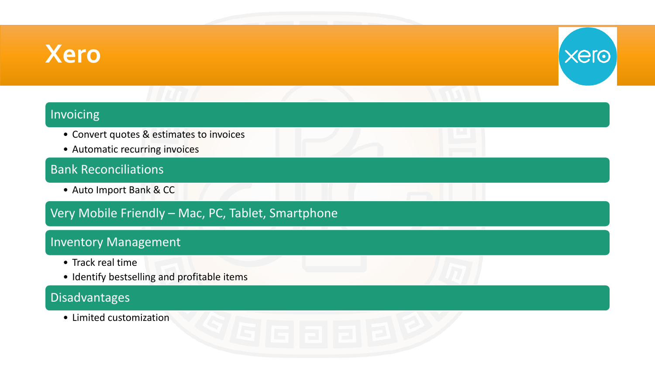## **Xero**



#### Invoicing

- Convert quotes & estimates to invoices
- Automatic recurring invoices

#### Bank Reconciliations

• Auto Import Bank & CC

### Very Mobile Friendly – Mac, PC, Tablet, Smartphone

#### Inventory Management

- Track real time
- Identify bestselling and profitable items

### Disadvantages

• Limited customization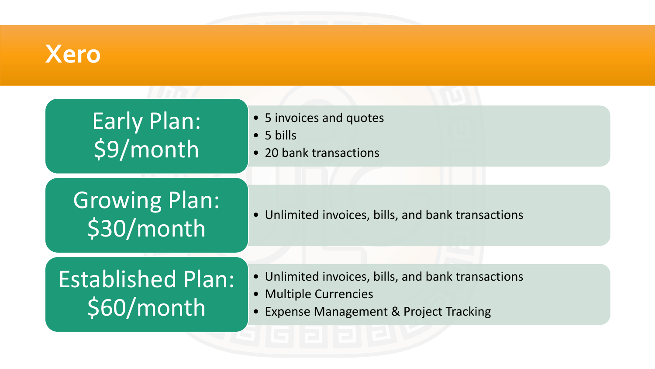## **Xero**

| <b>Early Plan:</b><br>\$9/month    | • 5 invoices and quotes<br>$\bullet$ 5 bills<br>• 20 bank transactions                                                 |
|------------------------------------|------------------------------------------------------------------------------------------------------------------------|
| <b>Growing Plan:</b><br>\$30/month | • Unlimited invoices, bills, and bank transactions                                                                     |
| Established Plan:<br>\$60/month    | • Unlimited invoices, bills, and bank transactions<br>• Multiple Currencies<br>• Expense Management & Project Tracking |

wa bela di di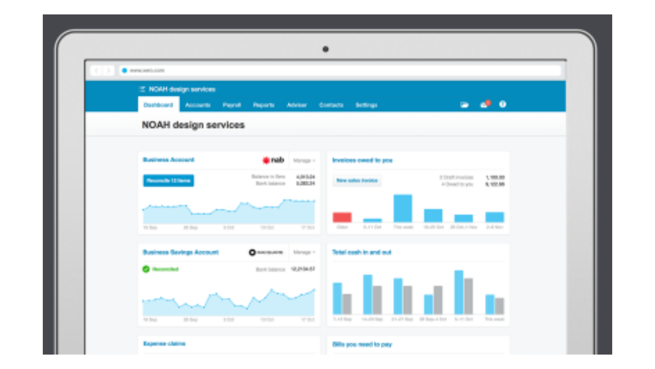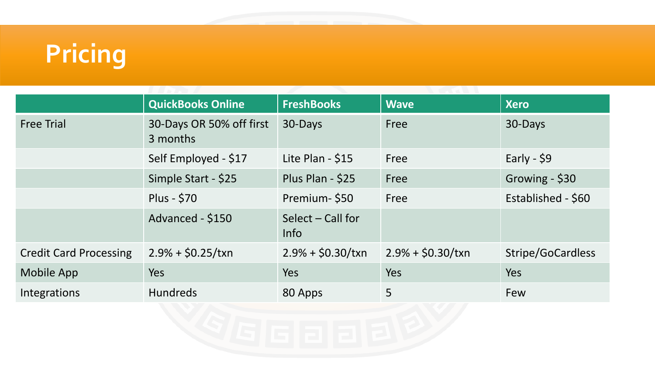# **Pricing**

|                               | <b>QuickBooks Online</b>             | <b>FreshBooks</b>                | <b>Wave</b>          | <b>Xero</b>        |
|-------------------------------|--------------------------------------|----------------------------------|----------------------|--------------------|
| <b>Free Trial</b>             | 30-Days OR 50% off first<br>3 months | 30-Days                          | Free                 | 30-Days            |
|                               | Self Employed - \$17                 | Lite Plan - \$15                 | Free                 | Early - $$9$       |
|                               | Simple Start - \$25                  | Plus Plan - \$25                 | Free                 | Growing - \$30     |
|                               | Plus - \$70                          | Premium-\$50                     | Free                 | Established - \$60 |
|                               | Advanced - \$150                     | Select - Call for<br><b>Info</b> |                      |                    |
| <b>Credit Card Processing</b> | $2.9\% + $0.25/t$ xn                 | $2.9\% + $0.30$ /txn             | $2.9\% + $0.30/t$ xn | Stripe/GoCardless  |
| <b>Mobile App</b>             | Yes                                  | Yes                              | Yes                  | Yes                |
| Integrations                  | <b>Hundreds</b>                      | 80 Apps                          | 5                    | Few                |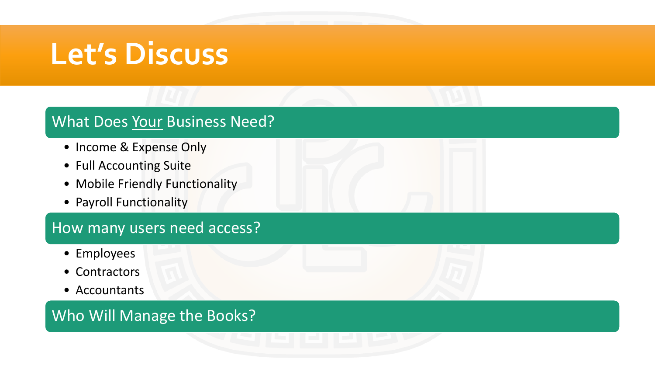# **Let's Discuss**

## What Does Your Business Need?

- Income & Expense Only
- Full Accounting Suite
- Mobile Friendly Functionality
- Payroll Functionality

## How many users need access?

- Employees
- Contractors
- Accountants

## Who Will Manage the Books?